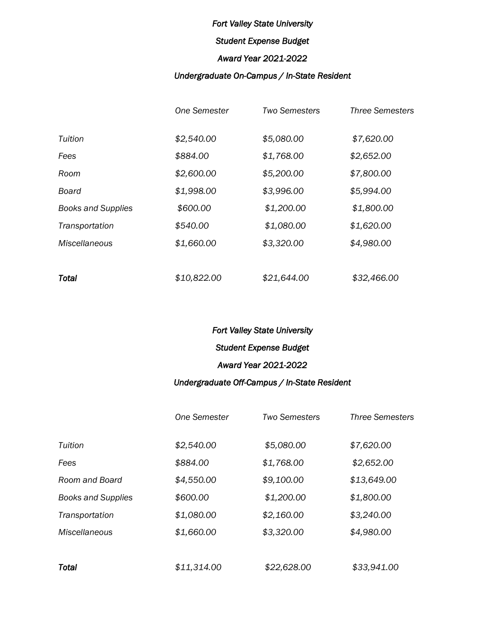# *Student Expense Budget*

## *Award Year 2021-2022*

# *Undergraduate On-Campus / In-State Resident*

|                           | One Semester | <b>Two Semesters</b> | <b>Three Semesters</b> |
|---------------------------|--------------|----------------------|------------------------|
| Tuition                   | \$2,540.00   | \$5,080.00           | \$7,620.00             |
| Fees                      | \$884.00     | \$1,768.00           | \$2,652.00             |
| Room                      | \$2,600.00   | \$5,200.00           | \$7,800.00             |
| Board                     | \$1,998.00   | \$3,996.00           | \$5,994.00             |
| <b>Books and Supplies</b> | \$600.00     | \$1,200.00           | \$1,800.00             |
| Transportation            | \$540.00     | \$1,080.00           | \$1,620.00             |
| Miscellaneous             | \$1,660.00   | \$3,320.00           | \$4,980.00             |
|                           |              |                      |                        |
| <b>Total</b>              | \$10,822.00  | \$21,644.00          | \$32,466.00            |

# *Fort Valley State University Student Expense Budget Award Year 2021-2022*

# *Undergraduate Off-Campus / In-State Resident*

|                           | <b>One Semester</b> | <b>Two Semesters</b> | <b>Three Semesters</b> |
|---------------------------|---------------------|----------------------|------------------------|
| Tuition                   | \$2,540.00          | \$5,080.00           | \$7,620.00             |
| Fees                      | \$884.00            | \$1,768.00           | \$2,652.00             |
| Room and Board            | \$4,550.00          | \$9,100.00           | \$13,649.00            |
| <b>Books and Supplies</b> | \$600.00            | \$1,200.00           | \$1,800.00             |
| Transportation            | \$1,080.00          | \$2,160.00           | \$3,240.00             |
| <b>Miscellaneous</b>      | \$1,660.00          | \$3,320.00           | \$4,980.00             |
|                           |                     |                      |                        |
| Total                     | \$11,314.00         | \$22,628.00          | \$33,941.00            |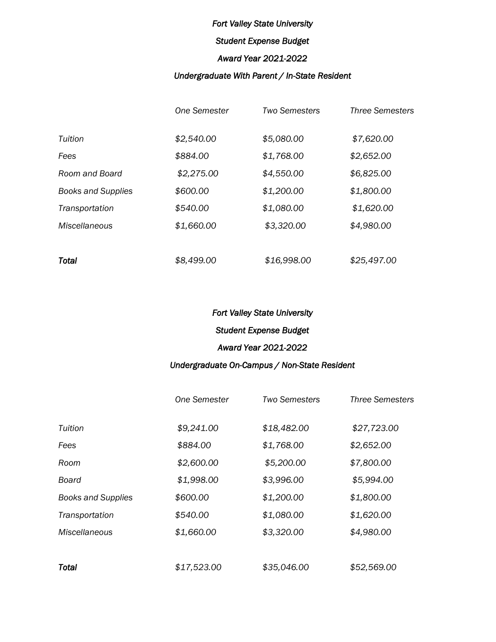# *Student Expense Budget*

#### *Award Year 2021-2022*

## *Undergraduate With Parent / In-State Resident*

|                           | <b>One Semester</b> | <b>Two Semesters</b> | <b>Three Semesters</b> |
|---------------------------|---------------------|----------------------|------------------------|
| Tuition                   | \$2,540.00          | \$5,080.00           | \$7,620.00             |
| Fees                      | \$884.00            | \$1,768.00           | \$2,652.00             |
| Room and Board            | \$2,275.00          | \$4,550.00           | \$6,825.00             |
| <b>Books and Supplies</b> | \$600.00            | \$1,200.00           | \$1,800.00             |
| Transportation            | \$540.00            | \$1,080.00           | \$1,620.00             |
| <b>Miscellaneous</b>      | \$1,660.00          | \$3,320.00           | \$4,980.00             |
|                           |                     |                      |                        |
| Total                     | \$8,499.00          | \$16,998.00          | \$25,497.00            |

## *Fort Valley State University*

#### *Student Expense Budget*

## *Award Year 2021-2022*

## *Undergraduate On-Campus / Non-State Resident*

|                             | <b>One Semester</b> | <b>Two Semesters</b> | <b>Three Semesters</b> |
|-----------------------------|---------------------|----------------------|------------------------|
| Tuition                     | \$9,241.00          | \$18,482.00          | \$27,723.00            |
| Fees                        | \$884.00            | \$1,768.00           | \$2,652.00             |
| Room                        | \$2,600.00          | \$5,200.00           | \$7,800.00             |
| Board                       | \$1,998.00          | \$3,996.00           | \$5,994.00             |
| <b>Books and Supplies</b>   | \$600.00            | \$1,200.00           | \$1,800.00             |
| Transportation              | \$540.00            | \$1,080.00           | \$1,620.00             |
| <i><b>Miscellaneous</b></i> | \$1,660.00          | \$3,320.00           | \$4,980.00             |
|                             |                     |                      |                        |
| Total                       | \$17,523.00         | \$35,046.00          | \$52,569.00            |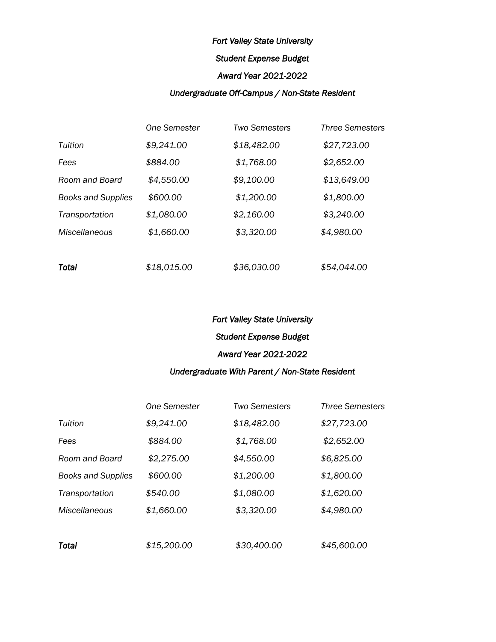## *Student Expense Budget*

#### *Award Year 2021-2022*

## *Undergraduate Off-Campus / Non-State Resident*

|                           | <b>One Semester</b> | <b>Two Semesters</b> | <b>Three Semesters</b> |
|---------------------------|---------------------|----------------------|------------------------|
| Tuition                   | \$9,241.00          | \$18,482.00          | \$27,723.00            |
| Fees                      | \$884.00            | \$1,768.00           | \$2,652.00             |
| Room and Board            | \$4,550.00          | \$9,100.00           | \$13,649.00            |
| <b>Books and Supplies</b> | \$600.00            | \$1,200.00           | \$1,800.00             |
| Transportation            | \$1,080.00          | \$2,160.00           | \$3,240.00             |
| <b>Miscellaneous</b>      | \$1,660.00          | \$3,320.00           | \$4,980.00             |
|                           |                     |                      |                        |
| <b>Total</b>              | \$18,015.00         | \$36,030.00          | \$54,044.00            |

## *Fort Valley State University*

# *Student Expense Budget*

# *Award Year 2021-2022*

## *Undergraduate With Parent / Non-State Resident*

|                           | <b>One Semester</b> | Two Semesters | <b>Three Semesters</b> |
|---------------------------|---------------------|---------------|------------------------|
| Tuition                   | \$9,241.00          | \$18,482.00   | \$27,723.00            |
| Fees                      | \$884.00            | \$1,768.00    | \$2,652.00             |
| Room and Board            | \$2,275.00          | \$4,550.00    | \$6,825.00             |
| <b>Books and Supplies</b> | \$600.00            | \$1,200.00    | \$1,800.00             |
| Transportation            | \$540.00            | \$1,080.00    | \$1,620.00             |
| <b>Miscellaneous</b>      | \$1,660.00          | \$3,320.00    | \$4,980.00             |
|                           |                     |               |                        |
| Total                     | \$15,200.00         | \$30,400.00   | \$45,600.00            |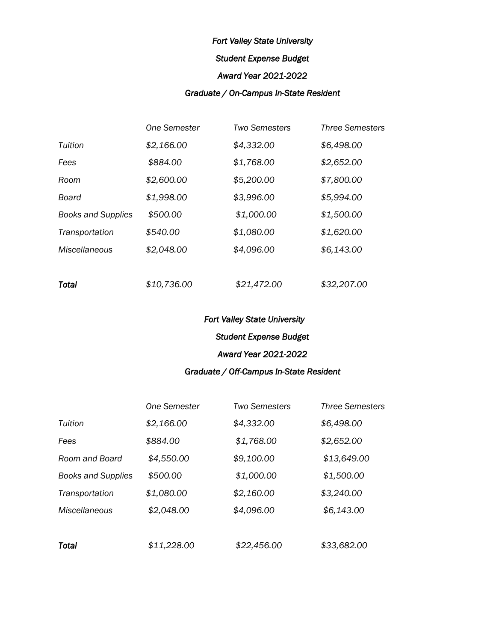## *Student Expense Budget*

#### *Award Year 2021-2022*

## *Graduate / On-Campus In-State Resident*

|                           | One Semester | <b>Two Semesters</b> | <b>Three Semesters</b> |
|---------------------------|--------------|----------------------|------------------------|
| Tuition                   | \$2,166.00   | \$4,332.00           | \$6,498.00             |
| Fees                      | \$884.00     | \$1,768.00           | \$2,652.00             |
| Room                      | \$2,600.00   | \$5,200.00           | \$7,800.00             |
| Board                     | \$1,998.00   | \$3,996.00           | \$5,994.00             |
| <b>Books and Supplies</b> | \$500.00     | \$1,000.00           | \$1,500.00             |
| Transportation            | \$540.00     | \$1,080.00           | \$1,620.00             |
| <b>Miscellaneous</b>      | \$2,048.00   | \$4,096.00           | \$6,143.00             |
|                           |              |                      |                        |

## *Fort Valley State University*

# *Student Expense Budget*

# *Award Year 2021-2022*

# *Graduate / Off-Campus In-State Resident*

|                           | <b>One Semester</b> | <b>Two Semesters</b> | <b>Three Semesters</b> |
|---------------------------|---------------------|----------------------|------------------------|
| Tuition                   | \$2,166.00          | \$4,332.00           | \$6,498.00             |
| Fees                      | \$884.00            | \$1,768.00           | \$2,652.00             |
| Room and Board            | \$4,550.00          | \$9,100.00           | \$13,649.00            |
| <b>Books and Supplies</b> | \$500.00            | \$1,000.00           | \$1,500.00             |
| Transportation            | \$1,080.00          | \$2,160.00           | \$3,240.00             |
| <b>Miscellaneous</b>      | \$2,048.00          | \$4,096.00           | \$6,143.00             |
|                           |                     |                      |                        |
| Total                     | \$11,228.00         | \$22,456.00          | \$33,682.00            |